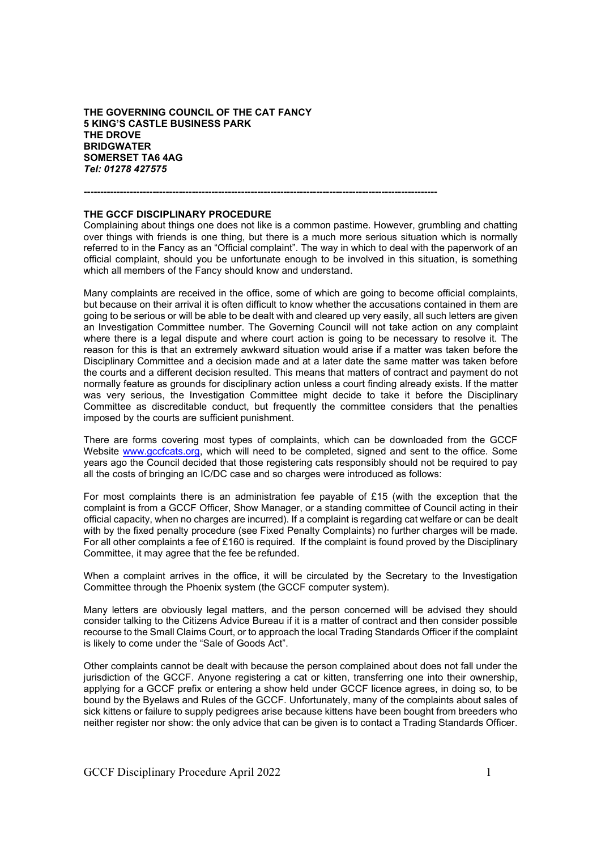**THE GOVERNING COUNCIL OF THE CAT FANCY 5 KING'S CASTLE BUSINESS PARK THE DROVE BRIDGWATER SOMERSET TA6 4AG**  *Tel: 01278 427575*

# **------------------------------------------------------------------------------------------------------------**

## **THE GCCF DISCIPLINARY PROCEDURE**

Complaining about things one does not like is a common pastime. However, grumbling and chatting over things with friends is one thing, but there is a much more serious situation which is normally referred to in the Fancy as an "Official complaint". The way in which to deal with the paperwork of an official complaint, should you be unfortunate enough to be involved in this situation, is something which all members of the Fancy should know and understand.

Many complaints are received in the office, some of which are going to become official complaints, but because on their arrival it is often difficult to know whether the accusations contained in them are going to be serious or will be able to be dealt with and cleared up very easily, all such letters are given an Investigation Committee number. The Governing Council will not take action on any complaint where there is a legal dispute and where court action is going to be necessary to resolve it. The reason for this is that an extremely awkward situation would arise if a matter was taken before the Disciplinary Committee and a decision made and at a later date the same matter was taken before the courts and a different decision resulted. This means that matters of contract and payment do not normally feature as grounds for disciplinary action unless a court finding already exists. If the matter was very serious, the Investigation Committee might decide to take it before the Disciplinary Committee as discreditable conduct, but frequently the committee considers that the penalties imposed by the courts are sufficient punishment.

There are forms covering most types of complaints, which can be downloaded from the GCCF Website www.gccfcats.org, which will need to be completed, signed and sent to the office. Some years ago the Council decided that those registering cats responsibly should not be required to pay all the costs of bringing an IC/DC case and so charges were introduced as follows:

For most complaints there is an administration fee payable of £15 (with the exception that the complaint is from a GCCF Officer, Show Manager, or a standing committee of Council acting in their official capacity, when no charges are incurred). If a complaint is regarding cat welfare or can be dealt with by the fixed penalty procedure (see Fixed Penalty Complaints) no further charges will be made. For all other complaints a fee of £160 is required. If the complaint is found proved by the Disciplinary Committee, it may agree that the fee be refunded.

When a complaint arrives in the office, it will be circulated by the Secretary to the Investigation Committee through the Phoenix system (the GCCF computer system).

Many letters are obviously legal matters, and the person concerned will be advised they should consider talking to the Citizens Advice Bureau if it is a matter of contract and then consider possible recourse to the Small Claims Court, or to approach the local Trading Standards Officer if the complaint is likely to come under the "Sale of Goods Act".

Other complaints cannot be dealt with because the person complained about does not fall under the jurisdiction of the GCCF. Anyone registering a cat or kitten, transferring one into their ownership, applying for a GCCF prefix or entering a show held under GCCF licence agrees, in doing so, to be bound by the Byelaws and Rules of the GCCF. Unfortunately, many of the complaints about sales of sick kittens or failure to supply pedigrees arise because kittens have been bought from breeders who neither register nor show: the only advice that can be given is to contact a Trading Standards Officer.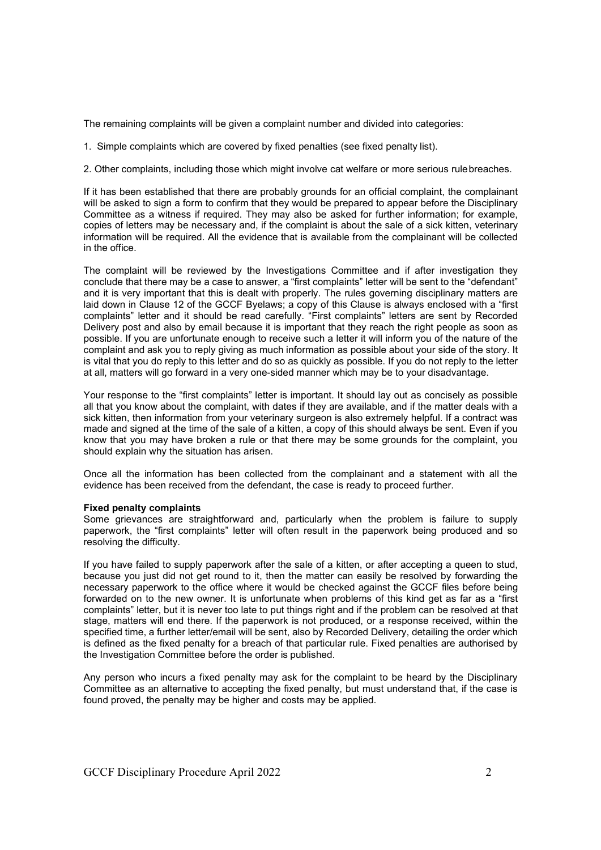The remaining complaints will be given a complaint number and divided into categories:

1. Simple complaints which are covered by fixed penalties (see fixed penalty list).

2. Other complaints, including those which might involve cat welfare or more serious rulebreaches.

If it has been established that there are probably grounds for an official complaint, the complainant will be asked to sign a form to confirm that they would be prepared to appear before the Disciplinary Committee as a witness if required. They may also be asked for further information; for example, copies of letters may be necessary and, if the complaint is about the sale of a sick kitten, veterinary information will be required. All the evidence that is available from the complainant will be collected in the office.

The complaint will be reviewed by the Investigations Committee and if after investigation they conclude that there may be a case to answer, a "first complaints" letter will be sent to the "defendant" and it is very important that this is dealt with properly. The rules governing disciplinary matters are laid down in Clause 12 of the GCCF Byelaws; a copy of this Clause is always enclosed with a "first complaints" letter and it should be read carefully. "First complaints" letters are sent by Recorded Delivery post and also by email because it is important that they reach the right people as soon as possible. If you are unfortunate enough to receive such a letter it will inform you of the nature of the complaint and ask you to reply giving as much information as possible about your side of the story. It is vital that you do reply to this letter and do so as quickly as possible. If you do not reply to the letter at all, matters will go forward in a very one-sided manner which may be to your disadvantage.

Your response to the "first complaints" letter is important. It should lay out as concisely as possible all that you know about the complaint, with dates if they are available, and if the matter deals with a sick kitten, then information from your veterinary surgeon is also extremely helpful. If a contract was made and signed at the time of the sale of a kitten, a copy of this should always be sent. Even if you know that you may have broken a rule or that there may be some grounds for the complaint, you should explain why the situation has arisen.

Once all the information has been collected from the complainant and a statement with all the evidence has been received from the defendant, the case is ready to proceed further.

#### **Fixed penalty complaints**

Some grievances are straightforward and, particularly when the problem is failure to supply paperwork, the "first complaints" letter will often result in the paperwork being produced and so resolving the difficulty.

If you have failed to supply paperwork after the sale of a kitten, or after accepting a queen to stud, because you just did not get round to it, then the matter can easily be resolved by forwarding the necessary paperwork to the office where it would be checked against the GCCF files before being forwarded on to the new owner. It is unfortunate when problems of this kind get as far as a "first complaints" letter, but it is never too late to put things right and if the problem can be resolved at that stage, matters will end there. If the paperwork is not produced, or a response received, within the specified time, a further letter/email will be sent, also by Recorded Delivery, detailing the order which is defined as the fixed penalty for a breach of that particular rule. Fixed penalties are authorised by the Investigation Committee before the order is published.

Any person who incurs a fixed penalty may ask for the complaint to be heard by the Disciplinary Committee as an alternative to accepting the fixed penalty, but must understand that, if the case is found proved, the penalty may be higher and costs may be applied.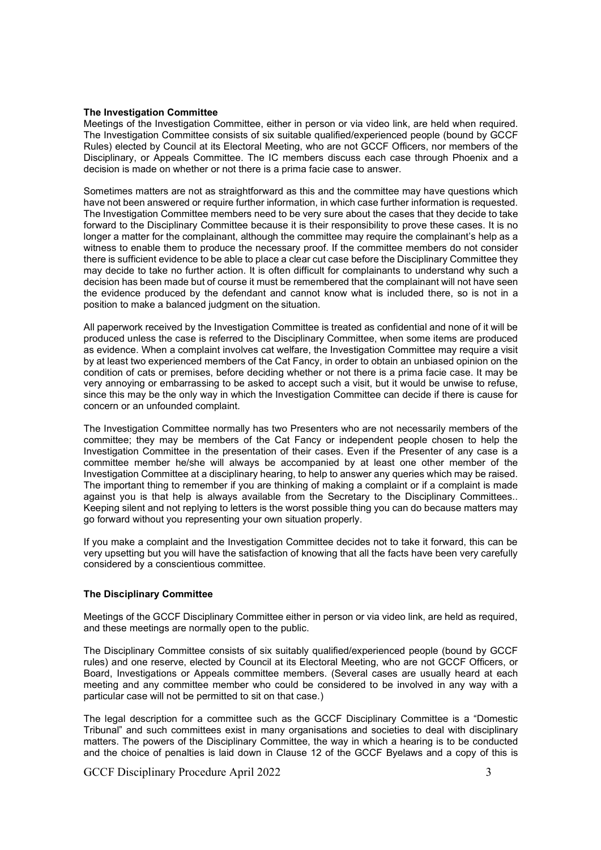### **The Investigation Committee**

Meetings of the Investigation Committee, either in person or via video link, are held when required. The Investigation Committee consists of six suitable qualified/experienced people (bound by GCCF Rules) elected by Council at its Electoral Meeting, who are not GCCF Officers, nor members of the Disciplinary, or Appeals Committee. The IC members discuss each case through Phoenix and a decision is made on whether or not there is a prima facie case to answer.

Sometimes matters are not as straightforward as this and the committee may have questions which have not been answered or require further information, in which case further information is requested. The Investigation Committee members need to be very sure about the cases that they decide to take forward to the Disciplinary Committee because it is their responsibility to prove these cases. It is no longer a matter for the complainant, although the committee may require the complainant's help as a witness to enable them to produce the necessary proof. If the committee members do not consider there is sufficient evidence to be able to place a clear cut case before the Disciplinary Committee they may decide to take no further action. It is often difficult for complainants to understand why such a decision has been made but of course it must be remembered that the complainant will not have seen the evidence produced by the defendant and cannot know what is included there, so is not in a position to make a balanced judgment on the situation.

All paperwork received by the Investigation Committee is treated as confidential and none of it will be produced unless the case is referred to the Disciplinary Committee, when some items are produced as evidence. When a complaint involves cat welfare, the Investigation Committee may require a visit by at least two experienced members of the Cat Fancy, in order to obtain an unbiased opinion on the condition of cats or premises, before deciding whether or not there is a prima facie case. It may be very annoying or embarrassing to be asked to accept such a visit, but it would be unwise to refuse, since this may be the only way in which the Investigation Committee can decide if there is cause for concern or an unfounded complaint.

The Investigation Committee normally has two Presenters who are not necessarily members of the committee; they may be members of the Cat Fancy or independent people chosen to help the Investigation Committee in the presentation of their cases. Even if the Presenter of any case is a committee member he/she will always be accompanied by at least one other member of the Investigation Committee at a disciplinary hearing, to help to answer any queries which may be raised. The important thing to remember if you are thinking of making a complaint or if a complaint is made against you is that help is always available from the Secretary to the Disciplinary Committees.. Keeping silent and not replying to letters is the worst possible thing you can do because matters may go forward without you representing your own situation properly.

If you make a complaint and the Investigation Committee decides not to take it forward, this can be very upsetting but you will have the satisfaction of knowing that all the facts have been very carefully considered by a conscientious committee.

## **The Disciplinary Committee**

Meetings of the GCCF Disciplinary Committee either in person or via video link, are held as required, and these meetings are normally open to the public.

The Disciplinary Committee consists of six suitably qualified/experienced people (bound by GCCF rules) and one reserve, elected by Council at its Electoral Meeting, who are not GCCF Officers, or Board, Investigations or Appeals committee members. (Several cases are usually heard at each meeting and any committee member who could be considered to be involved in any way with a particular case will not be permitted to sit on that case.)

The legal description for a committee such as the GCCF Disciplinary Committee is a "Domestic Tribunal" and such committees exist in many organisations and societies to deal with disciplinary matters. The powers of the Disciplinary Committee, the way in which a hearing is to be conducted and the choice of penalties is laid down in Clause 12 of the GCCF Byelaws and a copy of this is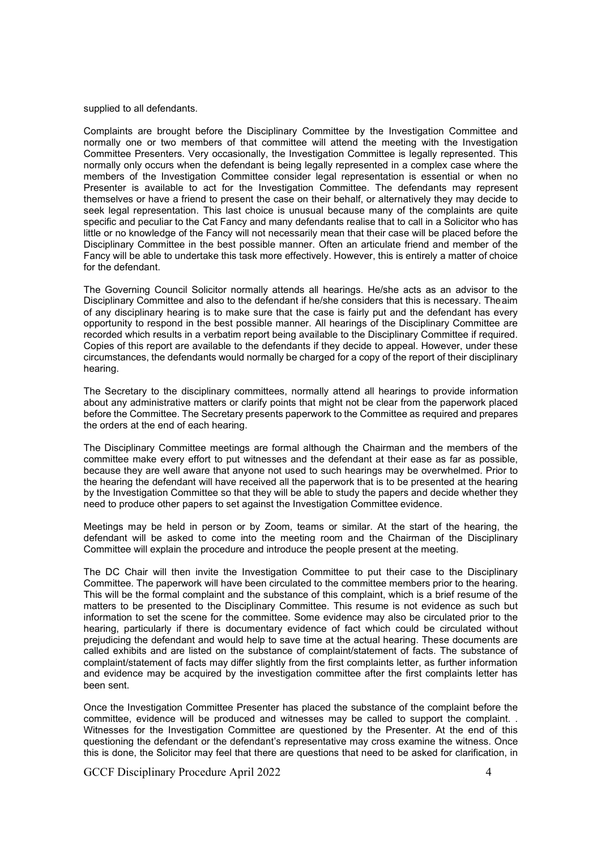supplied to all defendants.

Complaints are brought before the Disciplinary Committee by the Investigation Committee and normally one or two members of that committee will attend the meeting with the Investigation Committee Presenters. Very occasionally, the Investigation Committee is legally represented. This normally only occurs when the defendant is being legally represented in a complex case where the members of the Investigation Committee consider legal representation is essential or when no Presenter is available to act for the Investigation Committee. The defendants may represent themselves or have a friend to present the case on their behalf, or alternatively they may decide to seek legal representation. This last choice is unusual because many of the complaints are quite specific and peculiar to the Cat Fancy and many defendants realise that to call in a Solicitor who has little or no knowledge of the Fancy will not necessarily mean that their case will be placed before the Disciplinary Committee in the best possible manner. Often an articulate friend and member of the Fancy will be able to undertake this task more effectively. However, this is entirely a matter of choice for the defendant.

The Governing Council Solicitor normally attends all hearings. He/she acts as an advisor to the Disciplinary Committee and also to the defendant if he/she considers that this is necessary. Theaim of any disciplinary hearing is to make sure that the case is fairly put and the defendant has every opportunity to respond in the best possible manner. All hearings of the Disciplinary Committee are recorded which results in a verbatim report being available to the Disciplinary Committee if required. Copies of this report are available to the defendants if they decide to appeal. However, under these circumstances, the defendants would normally be charged for a copy of the report of their disciplinary hearing.

The Secretary to the disciplinary committees, normally attend all hearings to provide information about any administrative matters or clarify points that might not be clear from the paperwork placed before the Committee. The Secretary presents paperwork to the Committee as required and prepares the orders at the end of each hearing.

The Disciplinary Committee meetings are formal although the Chairman and the members of the committee make every effort to put witnesses and the defendant at their ease as far as possible, because they are well aware that anyone not used to such hearings may be overwhelmed. Prior to the hearing the defendant will have received all the paperwork that is to be presented at the hearing by the Investigation Committee so that they will be able to study the papers and decide whether they need to produce other papers to set against the Investigation Committee evidence.

Meetings may be held in person or by Zoom, teams or similar. At the start of the hearing, the defendant will be asked to come into the meeting room and the Chairman of the Disciplinary Committee will explain the procedure and introduce the people present at the meeting.

The DC Chair will then invite the Investigation Committee to put their case to the Disciplinary Committee. The paperwork will have been circulated to the committee members prior to the hearing. This will be the formal complaint and the substance of this complaint, which is a brief resume of the matters to be presented to the Disciplinary Committee. This resume is not evidence as such but information to set the scene for the committee. Some evidence may also be circulated prior to the hearing, particularly if there is documentary evidence of fact which could be circulated without prejudicing the defendant and would help to save time at the actual hearing. These documents are called exhibits and are listed on the substance of complaint/statement of facts. The substance of complaint/statement of facts may differ slightly from the first complaints letter, as further information and evidence may be acquired by the investigation committee after the first complaints letter has been sent.

Once the Investigation Committee Presenter has placed the substance of the complaint before the committee, evidence will be produced and witnesses may be called to support the complaint. . Witnesses for the Investigation Committee are questioned by the Presenter. At the end of this questioning the defendant or the defendant's representative may cross examine the witness. Once this is done, the Solicitor may feel that there are questions that need to be asked for clarification, in

GCCF Disciplinary Procedure April 2022 4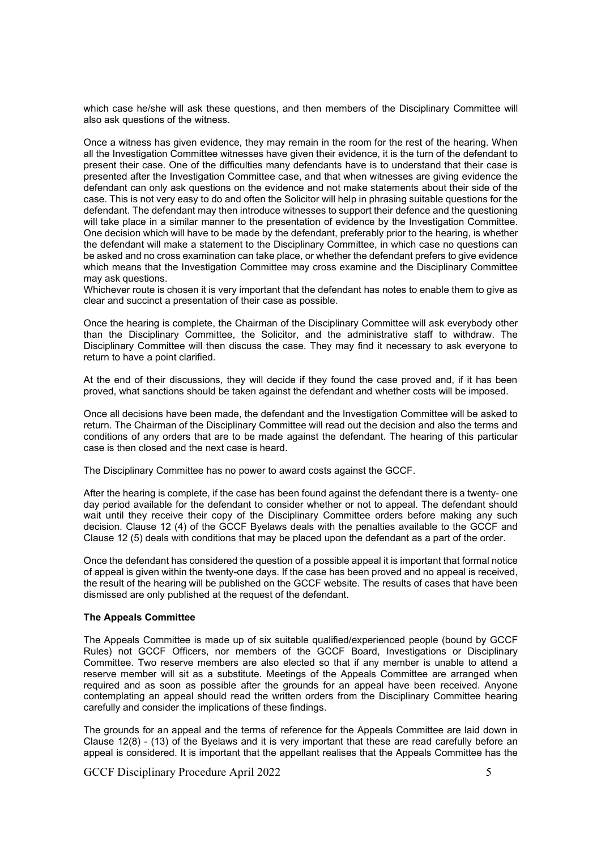which case he/she will ask these questions, and then members of the Disciplinary Committee will also ask questions of the witness.

Once a witness has given evidence, they may remain in the room for the rest of the hearing. When all the Investigation Committee witnesses have given their evidence, it is the turn of the defendant to present their case. One of the difficulties many defendants have is to understand that their case is presented after the Investigation Committee case, and that when witnesses are giving evidence the defendant can only ask questions on the evidence and not make statements about their side of the case. This is not very easy to do and often the Solicitor will help in phrasing suitable questions for the defendant. The defendant may then introduce witnesses to support their defence and the questioning will take place in a similar manner to the presentation of evidence by the Investigation Committee. One decision which will have to be made by the defendant, preferably prior to the hearing, is whether the defendant will make a statement to the Disciplinary Committee, in which case no questions can be asked and no cross examination can take place, or whether the defendant prefers to give evidence which means that the Investigation Committee may cross examine and the Disciplinary Committee may ask questions.

Whichever route is chosen it is very important that the defendant has notes to enable them to give as clear and succinct a presentation of their case as possible.

Once the hearing is complete, the Chairman of the Disciplinary Committee will ask everybody other than the Disciplinary Committee, the Solicitor, and the administrative staff to withdraw. The Disciplinary Committee will then discuss the case. They may find it necessary to ask everyone to return to have a point clarified.

At the end of their discussions, they will decide if they found the case proved and, if it has been proved, what sanctions should be taken against the defendant and whether costs will be imposed.

Once all decisions have been made, the defendant and the Investigation Committee will be asked to return. The Chairman of the Disciplinary Committee will read out the decision and also the terms and conditions of any orders that are to be made against the defendant. The hearing of this particular case is then closed and the next case is heard.

The Disciplinary Committee has no power to award costs against the GCCF.

After the hearing is complete, if the case has been found against the defendant there is a twenty- one day period available for the defendant to consider whether or not to appeal. The defendant should wait until they receive their copy of the Disciplinary Committee orders before making any such decision. Clause 12 (4) of the GCCF Byelaws deals with the penalties available to the GCCF and Clause 12 (5) deals with conditions that may be placed upon the defendant as a part of the order.

Once the defendant has considered the question of a possible appeal it is important that formal notice of appeal is given within the twenty-one days. If the case has been proved and no appeal is received, the result of the hearing will be published on the GCCF website. The results of cases that have been dismissed are only published at the request of the defendant.

## **The Appeals Committee**

The Appeals Committee is made up of six suitable qualified/experienced people (bound by GCCF Rules) not GCCF Officers, nor members of the GCCF Board, Investigations or Disciplinary Committee. Two reserve members are also elected so that if any member is unable to attend a reserve member will sit as a substitute. Meetings of the Appeals Committee are arranged when required and as soon as possible after the grounds for an appeal have been received. Anyone contemplating an appeal should read the written orders from the Disciplinary Committee hearing carefully and consider the implications of these findings.

The grounds for an appeal and the terms of reference for the Appeals Committee are laid down in Clause 12(8) - (13) of the Byelaws and it is very important that these are read carefully before an appeal is considered. It is important that the appellant realises that the Appeals Committee has the

GCCF Disciplinary Procedure April 2022 5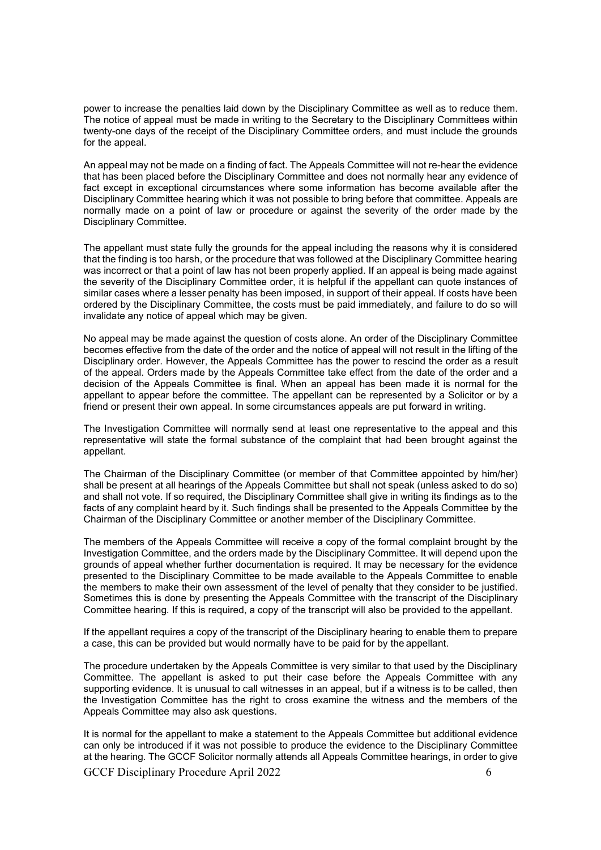power to increase the penalties laid down by the Disciplinary Committee as well as to reduce them. The notice of appeal must be made in writing to the Secretary to the Disciplinary Committees within twenty-one days of the receipt of the Disciplinary Committee orders, and must include the grounds for the appeal.

An appeal may not be made on a finding of fact. The Appeals Committee will not re-hear the evidence that has been placed before the Disciplinary Committee and does not normally hear any evidence of fact except in exceptional circumstances where some information has become available after the Disciplinary Committee hearing which it was not possible to bring before that committee. Appeals are normally made on a point of law or procedure or against the severity of the order made by the Disciplinary Committee.

The appellant must state fully the grounds for the appeal including the reasons why it is considered that the finding is too harsh, or the procedure that was followed at the Disciplinary Committee hearing was incorrect or that a point of law has not been properly applied. If an appeal is being made against the severity of the Disciplinary Committee order, it is helpful if the appellant can quote instances of similar cases where a lesser penalty has been imposed, in support of their appeal. If costs have been ordered by the Disciplinary Committee, the costs must be paid immediately, and failure to do so will invalidate any notice of appeal which may be given.

No appeal may be made against the question of costs alone. An order of the Disciplinary Committee becomes effective from the date of the order and the notice of appeal will not result in the lifting of the Disciplinary order. However, the Appeals Committee has the power to rescind the order as a result of the appeal. Orders made by the Appeals Committee take effect from the date of the order and a decision of the Appeals Committee is final. When an appeal has been made it is normal for the appellant to appear before the committee. The appellant can be represented by a Solicitor or by a friend or present their own appeal. In some circumstances appeals are put forward in writing.

The Investigation Committee will normally send at least one representative to the appeal and this representative will state the formal substance of the complaint that had been brought against the appellant.

The Chairman of the Disciplinary Committee (or member of that Committee appointed by him/her) shall be present at all hearings of the Appeals Committee but shall not speak (unless asked to do so) and shall not vote. If so required, the Disciplinary Committee shall give in writing its findings as to the facts of any complaint heard by it. Such findings shall be presented to the Appeals Committee by the Chairman of the Disciplinary Committee or another member of the Disciplinary Committee.

The members of the Appeals Committee will receive a copy of the formal complaint brought by the Investigation Committee, and the orders made by the Disciplinary Committee. It will depend upon the grounds of appeal whether further documentation is required. It may be necessary for the evidence presented to the Disciplinary Committee to be made available to the Appeals Committee to enable the members to make their own assessment of the level of penalty that they consider to be justified. Sometimes this is done by presenting the Appeals Committee with the transcript of the Disciplinary Committee hearing. If this is required, a copy of the transcript will also be provided to the appellant.

If the appellant requires a copy of the transcript of the Disciplinary hearing to enable them to prepare a case, this can be provided but would normally have to be paid for by the appellant.

The procedure undertaken by the Appeals Committee is very similar to that used by the Disciplinary Committee. The appellant is asked to put their case before the Appeals Committee with any supporting evidence. It is unusual to call witnesses in an appeal, but if a witness is to be called, then the Investigation Committee has the right to cross examine the witness and the members of the Appeals Committee may also ask questions.

It is normal for the appellant to make a statement to the Appeals Committee but additional evidence can only be introduced if it was not possible to produce the evidence to the Disciplinary Committee at the hearing. The GCCF Solicitor normally attends all Appeals Committee hearings, in order to give

GCCF Disciplinary Procedure April 2022 6